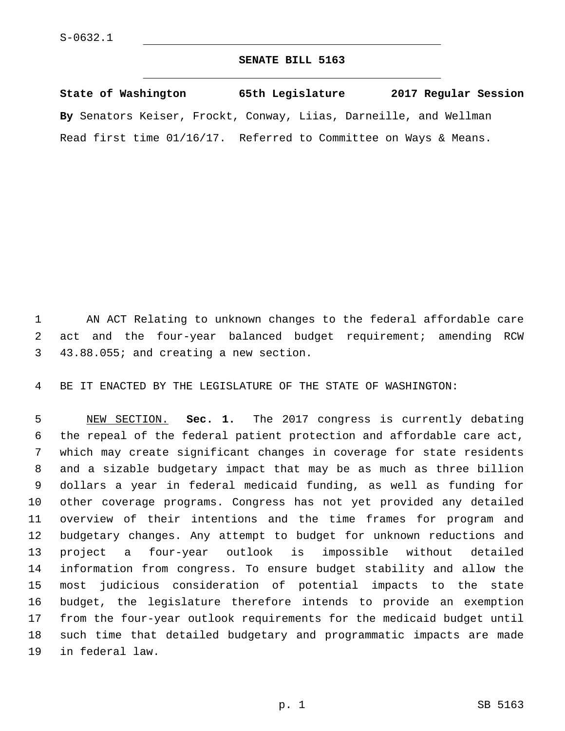## **SENATE BILL 5163**

**State of Washington 65th Legislature 2017 Regular Session By** Senators Keiser, Frockt, Conway, Liias, Darneille, and Wellman Read first time 01/16/17. Referred to Committee on Ways & Means.

 AN ACT Relating to unknown changes to the federal affordable care act and the four-year balanced budget requirement; amending RCW 43.88.055; and creating a new section.3

BE IT ENACTED BY THE LEGISLATURE OF THE STATE OF WASHINGTON:

 NEW SECTION. **Sec. 1.** The 2017 congress is currently debating the repeal of the federal patient protection and affordable care act, which may create significant changes in coverage for state residents and a sizable budgetary impact that may be as much as three billion dollars a year in federal medicaid funding, as well as funding for other coverage programs. Congress has not yet provided any detailed overview of their intentions and the time frames for program and budgetary changes. Any attempt to budget for unknown reductions and project a four-year outlook is impossible without detailed information from congress. To ensure budget stability and allow the most judicious consideration of potential impacts to the state budget, the legislature therefore intends to provide an exemption from the four-year outlook requirements for the medicaid budget until such time that detailed budgetary and programmatic impacts are made in federal law.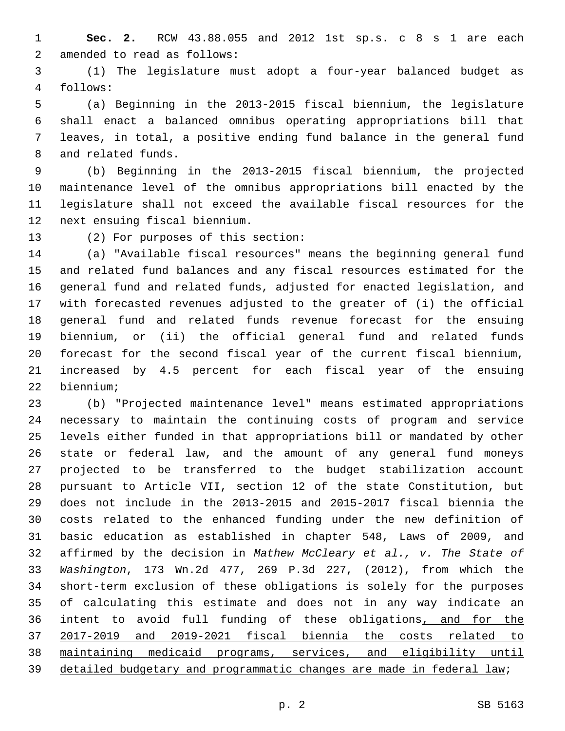**Sec. 2.** RCW 43.88.055 and 2012 1st sp.s. c 8 s 1 are each 2 amended to read as follows:

 (1) The legislature must adopt a four-year balanced budget as follows:4

 (a) Beginning in the 2013-2015 fiscal biennium, the legislature shall enact a balanced omnibus operating appropriations bill that leaves, in total, a positive ending fund balance in the general fund 8 and related funds.

 (b) Beginning in the 2013-2015 fiscal biennium, the projected maintenance level of the omnibus appropriations bill enacted by the legislature shall not exceed the available fiscal resources for the 12 next ensuing fiscal biennium.

13 (2) For purposes of this section:

 (a) "Available fiscal resources" means the beginning general fund and related fund balances and any fiscal resources estimated for the general fund and related funds, adjusted for enacted legislation, and with forecasted revenues adjusted to the greater of (i) the official general fund and related funds revenue forecast for the ensuing biennium, or (ii) the official general fund and related funds forecast for the second fiscal year of the current fiscal biennium, increased by 4.5 percent for each fiscal year of the ensuing biennium;22

 (b) "Projected maintenance level" means estimated appropriations necessary to maintain the continuing costs of program and service levels either funded in that appropriations bill or mandated by other state or federal law, and the amount of any general fund moneys projected to be transferred to the budget stabilization account pursuant to Article VII, section 12 of the state Constitution, but does not include in the 2013-2015 and 2015-2017 fiscal biennia the costs related to the enhanced funding under the new definition of basic education as established in chapter 548, Laws of 2009, and affirmed by the decision in *Mathew McCleary et al., v. The State of Washington*, 173 Wn.2d 477, 269 P.3d 227, (2012), from which the short-term exclusion of these obligations is solely for the purposes of calculating this estimate and does not in any way indicate an intent to avoid full funding of these obligations, and for the 2017-2019 and 2019-2021 fiscal biennia the costs related to maintaining medicaid programs, services, and eligibility until detailed budgetary and programmatic changes are made in federal law;

p. 2 SB 5163